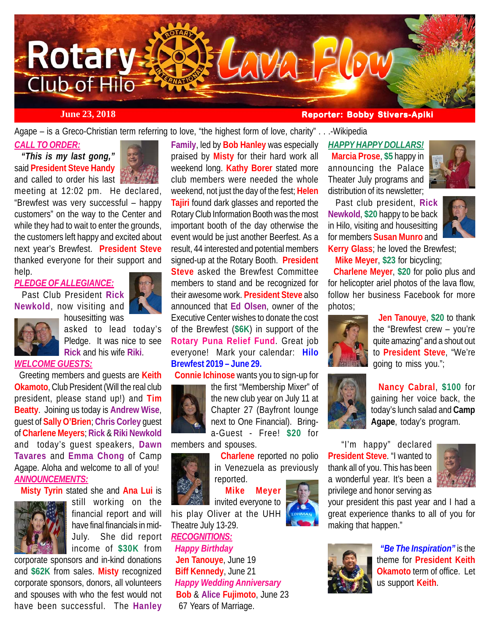

**June 23, 2018 Reporter: Bobby Stivers-Apiki** 

Agape – is a Greco-Christian term referring to love, "the highest form of love, charity" . . .-Wikipedia

# *CALL TO ORDER:*

 *"This is my last gong,"* said **President Steve Handy** and called to order his last



meeting at 12:02 pm. He declared, "Brewfest was very successful – happy customers" on the way to the Center and while they had to wait to enter the grounds, the customers left happy and excited about next year's Brewfest. **President Steve** thanked everyone for their support and help.

# *PLEDGE OF ALLEGIANCE:*

 Past Club President **Rick Newkold**, now visiting and housesitting was



asked to lead today's Pledge. It was nice to see **Rick** and his wife **Riki**.

#### *WELCOME GUESTS:*

 Greeting members and guests are **Keith Okamoto**, Club President (Will the real club president, please stand up!) and **Tim Beatty**. Joining us today is **Andrew Wise**, guest of **Sally O'Brien**; **Chris Corley** guest of **Charlene Meyers**; **Rick** & **Riki Newkold** and today's guest speakers, **Dawn Tavares** and **Emma Chong** of Camp Agape. Aloha and welcome to all of you! *ANNOUNCEMENTS:*

**Misty Tyrin** stated she and **Ana Lui** is



still working on the financial report and will have final financials in mid-July. She did report income of **\$30K** from

corporate sponsors and in-kind donations and **\$62K** from sales. **Misty** recognized corporate sponsors, donors, all volunteers and spouses with who the fest would not have been successful. The **Hanley**

**Family**, led by **Bob Hanley** was especially praised by **Misty** for their hard work all weekend long. **Kathy Borer** stated more club members were needed the whole weekend, not just the day of the fest; **Helen Tajiri** found dark glasses and reported the Rotary Club Information Booth was the most important booth of the day otherwise the event would be just another Beerfest. As a result, 44 interested and potential members signed-up at the Rotary Booth. **President Steve** asked the Brewfest Committee members to stand and be recognized for their awesome work. **President Steve** also announced that **Ed Olsen**, owner of the Executive Center wishes to donate the cost of the Brewfest (**\$6K**) in support of the **Rotary Puna Relief Fund**. Great job everyone! Mark your calendar: **Hilo Brewfest 2019 – June 29.**

**Connie Ichinose** wants you to sign-up for



the first "Membership Mixer" of the new club year on July 11 at Chapter 27 (Bayfront lounge next to One Financial). Bringa-Guest - Free! **\$20** for

members and spouses. **Charlene** reported no polio



in Venezuela as previously reported.

**Mike Meyer**

invited everyone to his play Oliver at the UHH Theatre July 13-29.

# *RECOGNITIONS:*

 *Happy Birthday* **Jen Tanouye**, June 19 **Biff Kennedy**, June 21  *Happy Wedding Anniversary*  **Bob** & **Alice Fujimoto**, June 23 67 Years of Marriage.

# *HAPPY HAPPY DOLLARS!* **Marcia Prose**, **\$5** happy in

announcing the Palace Theater July programs and distribution of its newsletter;



 Past club president, **Rick Newkold**, **\$20** happy to be back in Hilo, visiting and housesitting for members **Susan Munro** and **Kerry Glass**; he loved the Brewfest;



**Mike Meyer**, **\$23** for bicycling;

 **Charlene Meyer**, **\$20** for polio plus and for helicopter ariel photos of the lava flow, follow her business Facebook for more photos;



 **Jen Tanouye**, **\$20** to thank the "Brewfest crew – you're quite amazing" and a shout out to **President Steve**, "We're going to miss you.";



 **Nancy Cabral**, **\$100** for gaining her voice back, the today's lunch salad and **Camp Agape**, today's program.

 "I'm happy" declared **President Steve**. "I wanted to thank all of you. This has been a wonderful year. It's been a privilege and honor serving as



your president this past year and I had a great experience thanks to all of you for making that happen."



 *"Be The Inspiration"* is the theme for **President Keith Okamoto** term of office. Let us support **Keith**.

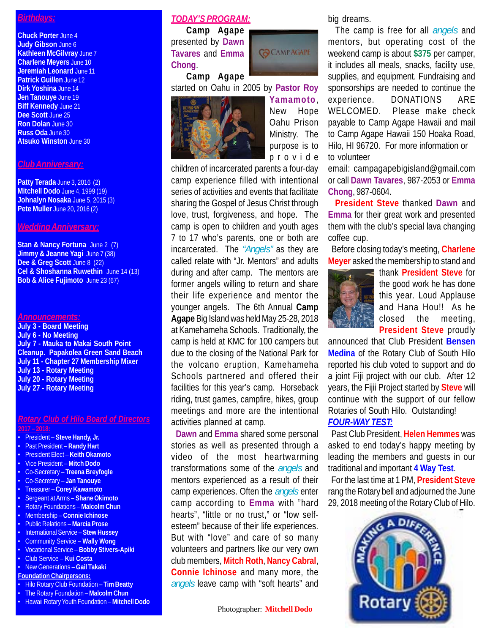# *Birthdays:*

**Chuck Porter** June 4 **Judy Gibson** June 6 **Kathleen McGilvray** June 7 **Charlene Meyers** June 10 **Jeremiah Leonard** June 11 **Patrick Guillen** June 12 **Dirk Yoshina** June 14 **Jen Tanouye** June 19 **Biff Kennedy** June 21 **Dee Scott** June 25 **Ron Dolan** June 30 **Russ Oda** June 30 **Atsuko Winston** June 30

# *Club Anniversary:*

**Patty Terada** June 3, 2016 (2) **Mitchell Dodo** June 4, 1999 (19) **Johnalyn Nosaka** June 5, 2015 (3) **Pete Muller** June 20, 2016 (2)

#### *Wedding Anniversary:*

**Stan & Nancy Fortuna** June 2 (7) **Jimmy & Jeanne Yagi** June 7 (38) Dee & Greg Scott June 8 (22) **Cel & Shoshanna Ruwethin** June 14 (13) **Bob & Alice Fujimoto** June 23 (67)

#### *Announcements:*

**July 3 - Board Meeting July 6 - No Meeting July 7 - Mauka to Makai South Point Cleanup. Papakolea Green Sand Beach July 11 - Chapter 27 Membership Mixer July 13 - Rotary Meeting July 20 - Rotary Meeting July 27 - Rotary Meeting**

#### *Rotary Club of Hilo Board of Directors* **2017 – 2018:**

- President **Steve Handy, Jr.**
- Past President **Randy Hart**
- President Elect **Keith Okamoto**
- Vice President **Mitch Dodo**
- Co-Secretary **Treena Breyfogle**
- Co-Secretary **Jan Tanouye**
- Treasurer **Corey Kawamoto**
- Sergeant at Arms **Shane Okimoto**
- Rotary Foundations **Malcolm Chun**
- Membership **Connie Ichinose**
- Public Relations **Marcia Prose**
- International Service **Stew Hussey**
- Community Service **Wally Wong**
- Vocational Service **Bobby Stivers-Apiki** • Club Service – **Kui Costa**
- New Generations **Gail Takaki**
- **Foundation Chairpersons:**
- Hilo Rotary Club Foundation **Tim Beatty**
- The Rotary Foundation **Malcolm Chun**
- Hawaii Rotary Youth Foundation **Mitchell Dodo**

### *TODAY'S PROGRAM:*

 **Camp Agape** presented by **Dawn Tavares** and **Emma Chong**.  **Camp Agape**



started on Oahu in 2005 by **Pastor Roy**



**Yamamoto**, New Hope Oahu Prison Ministry. The purpose is to provide

children of incarcerated parents a four-day camp experience filled with intentional series of activities and events that facilitate sharing the Gospel of Jesus Christ through love, trust, forgiveness, and hope. The camp is open to children and youth ages 7 to 17 who's parents, one or both are incarcerated. The *"Angels"* as they are called relate with "Jr. Mentors" and adults during and after camp. The mentors are former angels willing to return and share their life experience and mentor the younger angels. The 6th Annual **Camp Agape** Big Island was held May 25-28, 2018 at Kamehameha Schools. Traditionally, the camp is held at KMC for 100 campers but due to the closing of the National Park for the volcano eruption, Kamehameha Schools partnered and offered their facilities for this year's camp. Horseback riding, trust games, campfire, hikes, group meetings and more are the intentional activities planned at camp.

 **Dawn** and **Emma** shared some personal stories as well as presented through a video of the most heartwarming transformations some of the *angels* and mentors experienced as a result of their camp experiences. Often the *angels* enter camp according to **Emma** with "hard hearts", "little or no trust," or "low selfesteem" because of their life experiences. But with "love" and care of so many volunteers and partners like our very own club members, **Mitch Roth**, **Nancy Cabral**, **Connie Ichinose** and many more, the *angels* leave camp with "soft hearts" and big dreams.

 The camp is free for all *angels* and mentors, but operating cost of the weekend camp is about **\$375** per camper, it includes all meals, snacks, facility use, supplies, and equipment. Fundraising and sponsorships are needed to continue the experience. DONATIONS ARE WELCOMED. Please make check payable to Camp Agape Hawaii and mail to Camp Agape Hawaii 150 Hoaka Road, Hilo, HI 96720. For more information or to volunteer

email: campagapebigisland@gmail.com or call **Dawn Tavares**, 987-2053 or **Emma Chong**, 987-0604.

 **President Steve** thanked **Dawn** and **Emma** for their great work and presented them with the club's special lava changing coffee cup.

 Before closing today's meeting, **Charlene Meyer** asked the membership to stand and



thank **President Steve** for the good work he has done this year. Loud Applause and Hana Hou!! As he closed the meeting, **President Steve** proudly

announced that Club President **Bensen Medina** of the Rotary Club of South Hilo reported his club voted to support and do a joint Fiji project with our club. After 12 years, the Fijii Project started by **Steve** will continue with the support of our fellow Rotaries of South Hilo. Outstanding!

# *FOUR-WAY TEST:*

 Past Club President, **Helen Hemmes** was asked to end today's happy meeting by leading the members and guests in our traditional and important **4 Way Test**.

 For the last time at 1 PM, **President Steve** rang the Rotary bell and adjourned the June 29, 2018 meeting of the Rotary Club of Hilo.